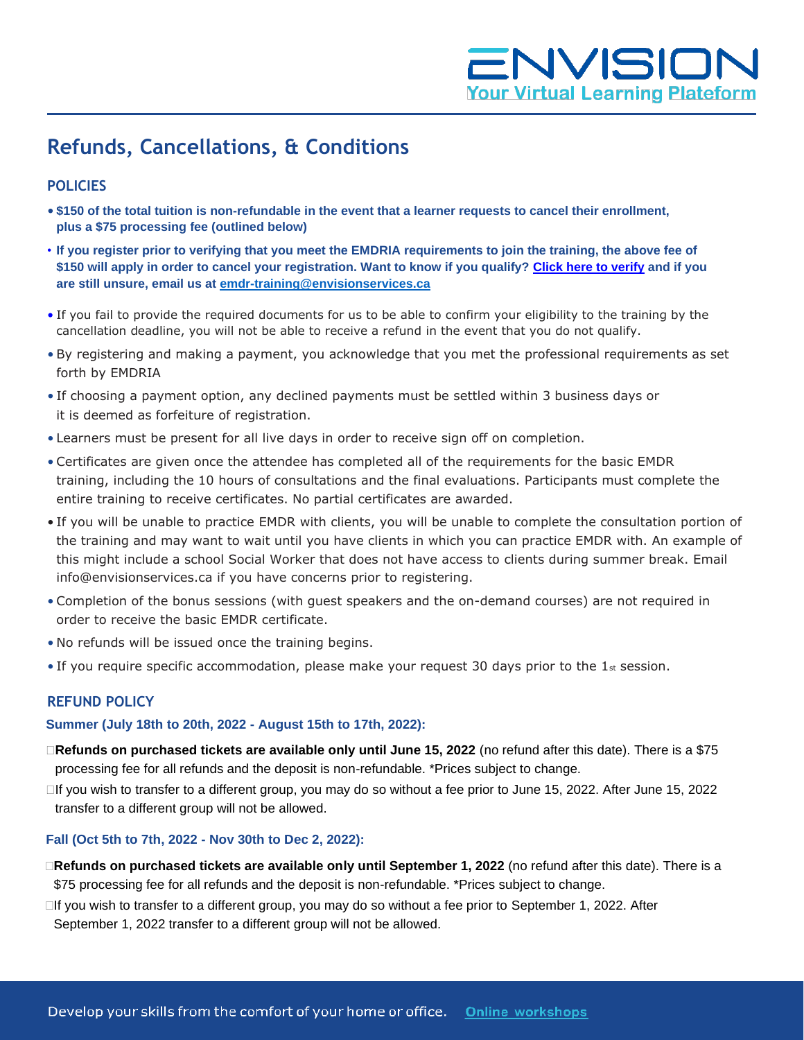# ENVISION **Your Virtual Learning Plateform**

# **Refunds, Cancellations, & Conditions**

## **POLICIES**

- **\$150 of the total tuition is non-refundable in the event that a learner requests to cancel their enrollment, plus a \$75 processing fee (outlined below)**
- **If you register prior to verifying that you meet the EMDRIA requirements to join the training, the above fee of \$150 will apply in order to cancel your registration. Want to know if you qualify? [Click here to verify](mailto:Click%20here%20to%20verify) and if you are still unsure, email us at [emdr-training@envisionservices.ca](mailto:emdr-training@envisionservices.ca)**
- If you fail to provide the required documents for us to be able to confirm your eligibility to the training by the cancellation deadline, you will not be able to receive a refund in the event that you do not qualify.
- By registering and making a payment, you acknowledge that you met the professional requirements as set forth by EMDRIA
- If choosing a payment option, any declined payments must be settled within 3 business days or it is deemed as forfeiture of registration.
- Learners must be present for all live days in order to receive sign off on completion.
- Certificates are given once the attendee has completed all of the requirements for the basic EMDR training, including the 10 hours of consultations and the final evaluations. Participants must complete the entire training to receive certificates. No partial certificates are awarded.
- If you will be unable to practice EMDR with clients, you will be unable to complete the consultation portion of the training and may want to wait until you have clients in which you can practice EMDR with. An example of this might include a school Social Worker that does not have access to clients during summer break. Email [info@envisionservices.ca i](mailto:info@envisionservices.ca)f you have concerns prior to registering.
- Completion of the bonus sessions (with guest speakers and the on-demand courses) are not required in order to receive the basic EMDR certificate.
- No refunds will be issued once the training begins.
- If you require specific accommodation, please make your request 30 days prior to the  $1_{st}$  session.

### **REFUND POLICY**

#### **Summer (July 18th to 20th, 2022 - August 15th to 17th, 2022):**

- **Refunds on purchased tickets are available only until June 15, 2022** (no refund after this date). There is a \$75 processing fee for all refunds and the deposit is non-refundable. \*Prices subject to change.
- If you wish to transfer to a different group, you may do so without a fee prior to June 15, 2022. After June 15, 2022 transfer to a different group will not be allowed.

#### **Fall (Oct 5th to 7th, 2022 - Nov 30th to Dec 2, 2022):**

- **Refunds on purchased tickets are available only until September 1, 2022** (no refund after this date). There is a \$75 processing fee for all refunds and the deposit is non-refundable. \*Prices subject to change.
- □If you wish to transfer to a different group, you may do so without a fee prior to September 1, 2022. After September 1, 2022 transfer to a different group will not be allowed.